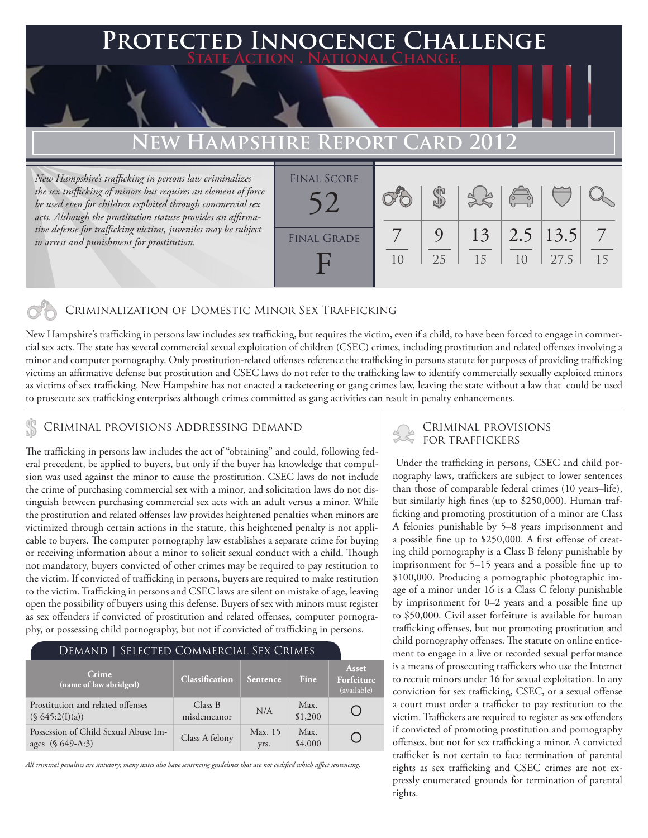### **FED INNOCENCE CHALLENGE State Action . National Change. New Hampshire Report Card 2012** *New Hampshire's trafficking in persons law criminalizes the sex trafficking of minors but requires an element of force be used even for children exploited through commercial sex acts. Although the prostitution statute provides an affirmative defense for trafficking victims, juveniles may be subject to arrest and punishment for prostitution.* 7 \$ 9 13 2.5 13.5 7 Final Score FINAL GRADE 52

10

25

### Criminalization of Domestic Minor Sex Trafficking

New Hampshire's trafficking in persons law includes sex trafficking, but requires the victim, even if a child, to have been forced to engage in commercial sex acts. The state has several commercial sexual exploitation of children (CSEC) crimes, including prostitution and related offenses involving a minor and computer pornography. Only prostitution-related offenses reference the trafficking in persons statute for purposes of providing trafficking victims an affirmative defense but prostitution and CSEC laws do not refer to the trafficking law to identify commercially sexually exploited minors as victims of sex trafficking. New Hampshire has not enacted a racketeering or gang crimes law, leaving the state without a law that could be used to prosecute sex trafficking enterprises although crimes committed as gang activities can result in penalty enhancements.

 $\mathsf H$ 

The trafficking in persons law includes the act of "obtaining" and could, following federal precedent, be applied to buyers, but only if the buyer has knowledge that compulsion was used against the minor to cause the prostitution. CSEC laws do not include the crime of purchasing commercial sex with a minor, and solicitation laws do not distinguish between purchasing commercial sex acts with an adult versus a minor. While the prostitution and related offenses law provides heightened penalties when minors are victimized through certain actions in the statute, this heightened penalty is not applicable to buyers. The computer pornography law establishes a separate crime for buying or receiving information about a minor to solicit sexual conduct with a child. Though not mandatory, buyers convicted of other crimes may be required to pay restitution to the victim. If convicted of trafficking in persons, buyers are required to make restitution to the victim. Trafficking in persons and CSEC laws are silent on mistake of age, leaving open the possibility of buyers using this defense. Buyers of sex with minors must register as sex offenders if convicted of prostitution and related offenses, computer pornography, or possessing child pornography, but not if convicted of trafficking in persons.

| <b>DEMAND   SELECTED COMMERCIAL SEX CRIMES</b>           |                        |                 |                 |                                    |
|----------------------------------------------------------|------------------------|-----------------|-----------------|------------------------------------|
| Crime<br>(name of law abridged)                          | <b>Classification</b>  | Sentence        | Fine            | Asset<br>Forfeiture<br>(available) |
| Prostitution and related offenses<br>(S 645:2(I)(a))     | Class B<br>misdemeanor | N/A             | Max.<br>\$1,200 |                                    |
| Possession of Child Sexual Abuse Im-<br>ages (§ 649-A:3) | Class A felony         | Max. 15<br>yrs. | Max.<br>\$4,000 |                                    |

*All criminal penalties are statutory; many states also have sentencing guidelines that are not codified which affect sentencing.* 

# CRIMINAL PROVISIONS ADDRESSING DEMAND CRIMINAL PROVISIONS

15

10

27.5

15

 Under the trafficking in persons, CSEC and child pornography laws, traffickers are subject to lower sentences than those of comparable federal crimes (10 years–life), but similarly high fines (up to \$250,000). Human trafficking and promoting prostitution of a minor are Class A felonies punishable by 5–8 years imprisonment and a possible fine up to \$250,000. A first offense of creating child pornography is a Class B felony punishable by imprisonment for 5–15 years and a possible fine up to \$100,000. Producing a pornographic photographic image of a minor under 16 is a Class C felony punishable by imprisonment for 0–2 years and a possible fine up to \$50,000. Civil asset forfeiture is available for human trafficking offenses, but not promoting prostitution and child pornography offenses. The statute on online enticement to engage in a live or recorded sexual performance is a means of prosecuting traffickers who use the Internet to recruit minors under 16 for sexual exploitation. In any conviction for sex trafficking, CSEC, or a sexual offense a court must order a trafficker to pay restitution to the victim. Traffickers are required to register as sex offenders if convicted of promoting prostitution and pornography offenses, but not for sex trafficking a minor. A convicted trafficker is not certain to face termination of parental rights as sex trafficking and CSEC crimes are not expressly enumerated grounds for termination of parental rights.